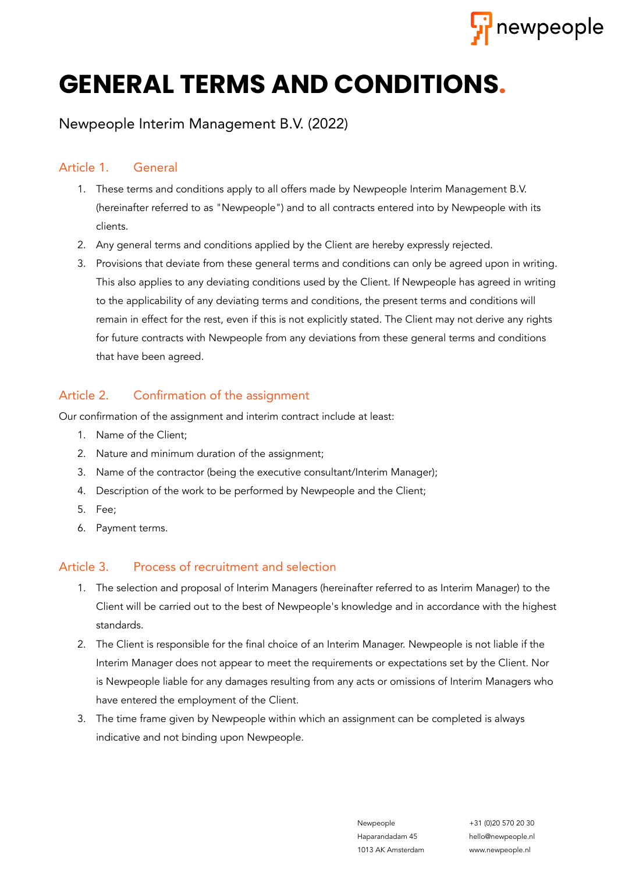

# **GENERAL TERMS AND CONDITIONS.**

## Newpeople Interim Management B.V. (2022)

## Article 1. General

- 1. These terms and conditions apply to all offers made by Newpeople Interim Management B.V. (hereinafter referred to as "Newpeople") and to all contracts entered into by Newpeople with its clients.
- 2. Any general terms and conditions applied by the Client are hereby expressly rejected.
- 3. Provisions that deviate from these general terms and conditions can only be agreed upon in writing. This also applies to any deviating conditions used by the Client. If Newpeople has agreed in writing to the applicability of any deviating terms and conditions, the present terms and conditions will remain in effect for the rest, even if this is not explicitly stated. The Client may not derive any rights for future contracts with Newpeople from any deviations from these general terms and conditions that have been agreed.

## Article 2. Confirmation of the assignment

Our confirmation of the assignment and interim contract include at least:

- 1. Name of the Client;
- 2. Nature and minimum duration of the assignment;
- 3. Name of the contractor (being the executive consultant/Interim Manager);
- 4. Description of the work to be performed by Newpeople and the Client;
- 5. Fee;
- 6. Payment terms.

## Article 3. Process of recruitment and selection

- 1. The selection and proposal of Interim Managers (hereinafter referred to as Interim Manager) to the Client will be carried out to the best of Newpeople's knowledge and in accordance with the highest standards.
- 2. The Client is responsible for the final choice of an Interim Manager. Newpeople is not liable if the Interim Manager does not appear to meet the requirements or expectations set by the Client. Nor is Newpeople liable for any damages resulting from any acts or omissions of Interim Managers who have entered the employment of the Client.
- 3. The time frame given by Newpeople within which an assignment can be completed is always indicative and not binding upon Newpeople.

Newpeople +31 (0)20 570 20 30 Haparandadam 45 hello@newpeople.nl 1013 AK Amsterdam www.newpeople.nl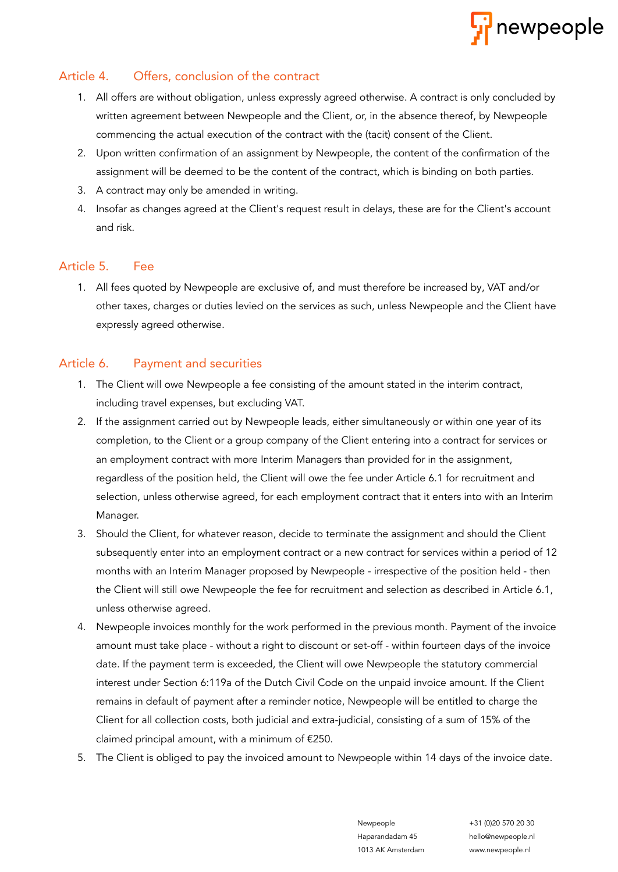

## Article 4. Offers, conclusion of the contract

- 1. All offers are without obligation, unless expressly agreed otherwise. A contract is only concluded by written agreement between Newpeople and the Client, or, in the absence thereof, by Newpeople commencing the actual execution of the contract with the (tacit) consent of the Client.
- 2. Upon written confirmation of an assignment by Newpeople, the content of the confirmation of the assignment will be deemed to be the content of the contract, which is binding on both parties.
- 3. A contract may only be amended in writing.
- 4. Insofar as changes agreed at the Client's request result in delays, these are for the Client's account and risk.

#### Article 5. Fee

1. All fees quoted by Newpeople are exclusive of, and must therefore be increased by, VAT and/or other taxes, charges or duties levied on the services as such, unless Newpeople and the Client have expressly agreed otherwise.

#### Article 6. Payment and securities

- 1. The Client will owe Newpeople a fee consisting of the amount stated in the interim contract, including travel expenses, but excluding VAT.
- 2. If the assignment carried out by Newpeople leads, either simultaneously or within one year of its completion, to the Client or a group company of the Client entering into a contract for services or an employment contract with more Interim Managers than provided for in the assignment, regardless of the position held, the Client will owe the fee under Article 6.1 for recruitment and selection, unless otherwise agreed, for each employment contract that it enters into with an Interim Manager.
- 3. Should the Client, for whatever reason, decide to terminate the assignment and should the Client subsequently enter into an employment contract or a new contract for services within a period of 12 months with an Interim Manager proposed by Newpeople - irrespective of the position held - then the Client will still owe Newpeople the fee for recruitment and selection as described in Article 6.1, unless otherwise agreed.
- 4. Newpeople invoices monthly for the work performed in the previous month. Payment of the invoice amount must take place - without a right to discount or set-off - within fourteen days of the invoice date. If the payment term is exceeded, the Client will owe Newpeople the statutory commercial interest under Section 6:119a of the Dutch Civil Code on the unpaid invoice amount. If the Client remains in default of payment after a reminder notice, Newpeople will be entitled to charge the Client for all collection costs, both judicial and extra-judicial, consisting of a sum of 15% of the claimed principal amount, with a minimum of €250.
- 5. The Client is obliged to pay the invoiced amount to Newpeople within 14 days of the invoice date.

1013 AK Amsterdam www.newpeople.nl

Newpeople +31 (0)20 570 20 30 Haparandadam 45 hello@newpeople.nl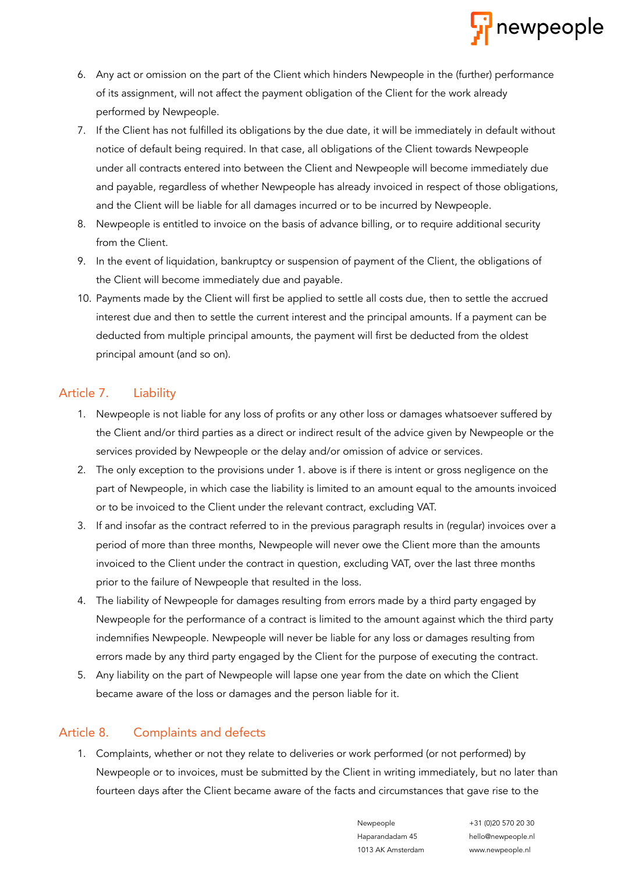

- 6. Any act or omission on the part of the Client which hinders Newpeople in the (further) performance of its assignment, will not affect the payment obligation of the Client for the work already performed by Newpeople.
- 7. If the Client has not fulfilled its obligations by the due date, it will be immediately in default without notice of default being required. In that case, all obligations of the Client towards Newpeople under all contracts entered into between the Client and Newpeople will become immediately due and payable, regardless of whether Newpeople has already invoiced in respect of those obligations, and the Client will be liable for all damages incurred or to be incurred by Newpeople.
- 8. Newpeople is entitled to invoice on the basis of advance billing, or to require additional security from the Client.
- 9. In the event of liquidation, bankruptcy or suspension of payment of the Client, the obligations of the Client will become immediately due and payable.
- 10. Payments made by the Client will first be applied to settle all costs due, then to settle the accrued interest due and then to settle the current interest and the principal amounts. If a payment can be deducted from multiple principal amounts, the payment will first be deducted from the oldest principal amount (and so on).

#### Article 7. Liability

- 1. Newpeople is not liable for any loss of profits or any other loss or damages whatsoever suffered by the Client and/or third parties as a direct or indirect result of the advice given by Newpeople or the services provided by Newpeople or the delay and/or omission of advice or services.
- 2. The only exception to the provisions under 1. above is if there is intent or gross negligence on the part of Newpeople, in which case the liability is limited to an amount equal to the amounts invoiced or to be invoiced to the Client under the relevant contract, excluding VAT.
- 3. If and insofar as the contract referred to in the previous paragraph results in (regular) invoices over a period of more than three months, Newpeople will never owe the Client more than the amounts invoiced to the Client under the contract in question, excluding VAT, over the last three months prior to the failure of Newpeople that resulted in the loss.
- 4. The liability of Newpeople for damages resulting from errors made by a third party engaged by Newpeople for the performance of a contract is limited to the amount against which the third party indemnifies Newpeople. Newpeople will never be liable for any loss or damages resulting from errors made by any third party engaged by the Client for the purpose of executing the contract.
- 5. Any liability on the part of Newpeople will lapse one year from the date on which the Client became aware of the loss or damages and the person liable for it.

## Article 8. Complaints and defects

1. Complaints, whether or not they relate to deliveries or work performed (or not performed) by Newpeople or to invoices, must be submitted by the Client in writing immediately, but no later than fourteen days after the Client became aware of the facts and circumstances that gave rise to the

> Newpeople +31 (0)20 570 20 30 Haparandadam 45 hello@newpeople.nl 1013 AK Amsterdam www.newpeople.nl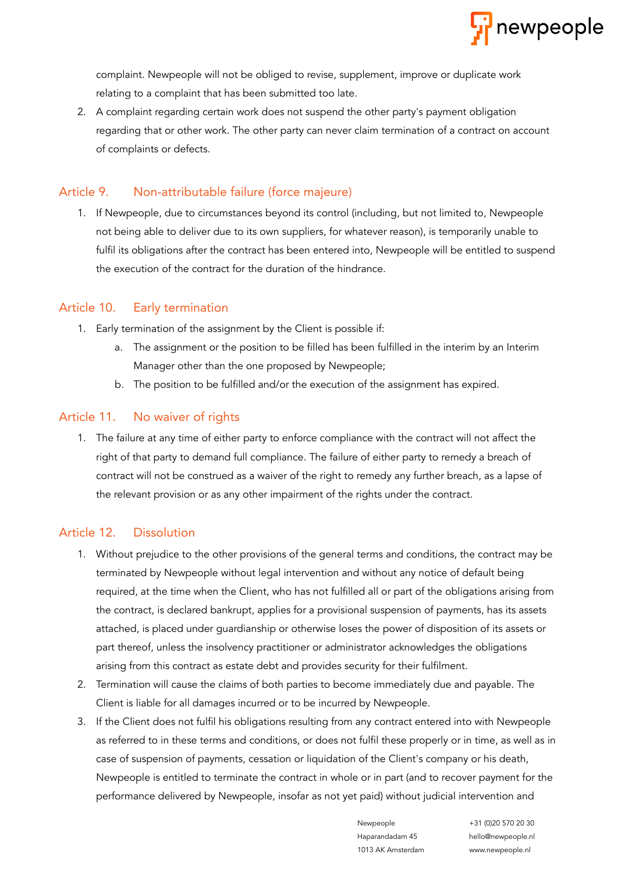

complaint. Newpeople will not be obliged to revise, supplement, improve or duplicate work relating to a complaint that has been submitted too late.

2. A complaint regarding certain work does not suspend the other party's payment obligation regarding that or other work. The other party can never claim termination of a contract on account of complaints or defects.

## Article 9. Non-attributable failure (force majeure)

1. If Newpeople, due to circumstances beyond its control (including, but not limited to, Newpeople not being able to deliver due to its own suppliers, for whatever reason), is temporarily unable to fulfil its obligations after the contract has been entered into, Newpeople will be entitled to suspend the execution of the contract for the duration of the hindrance.

## Article 10. Early termination

- 1. Early termination of the assignment by the Client is possible if:
	- a. The assignment or the position to be filled has been fulfilled in the interim by an Interim Manager other than the one proposed by Newpeople;
	- b. The position to be fulfilled and/or the execution of the assignment has expired.

## Article 11. No waiver of rights

1. The failure at any time of either party to enforce compliance with the contract will not affect the right of that party to demand full compliance. The failure of either party to remedy a breach of contract will not be construed as a waiver of the right to remedy any further breach, as a lapse of the relevant provision or as any other impairment of the rights under the contract.

## Article 12. Dissolution

- 1. Without prejudice to the other provisions of the general terms and conditions, the contract may be terminated by Newpeople without legal intervention and without any notice of default being required, at the time when the Client, who has not fulfilled all or part of the obligations arising from the contract, is declared bankrupt, applies for a provisional suspension of payments, has its assets attached, is placed under guardianship or otherwise loses the power of disposition of its assets or part thereof, unless the insolvency practitioner or administrator acknowledges the obligations arising from this contract as estate debt and provides security for their fulfilment.
- 2. Termination will cause the claims of both parties to become immediately due and payable. The Client is liable for all damages incurred or to be incurred by Newpeople.
- 3. If the Client does not fulfil his obligations resulting from any contract entered into with Newpeople as referred to in these terms and conditions, or does not fulfil these properly or in time, as well as in case of suspension of payments, cessation or liquidation of the Client's company or his death, Newpeople is entitled to terminate the contract in whole or in part (and to recover payment for the performance delivered by Newpeople, insofar as not yet paid) without judicial intervention and

Haparandadam 45 hello@newpeople.nl 1013 AK Amsterdam www.newpeople.nl

Newpeople +31 (0)20 570 20 30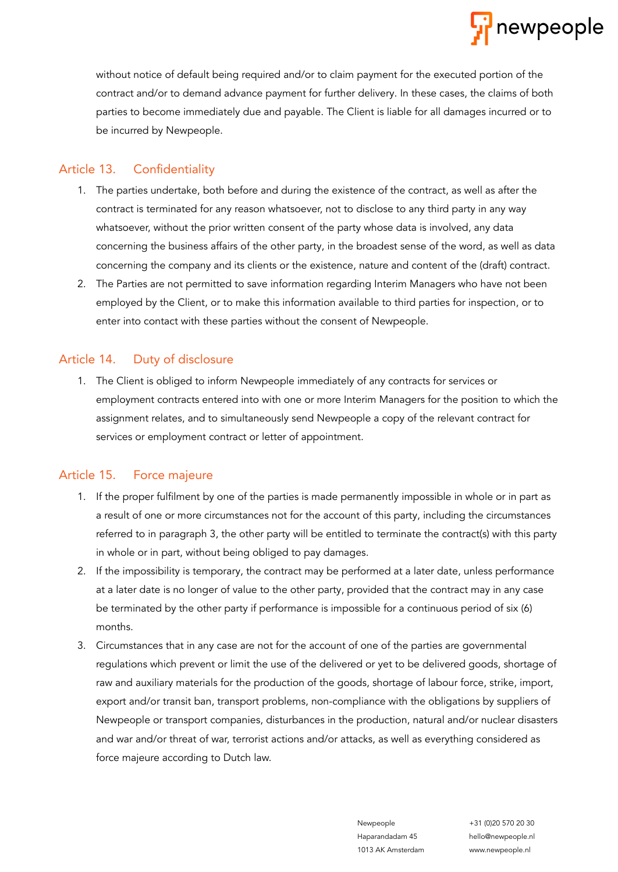

without notice of default being required and/or to claim payment for the executed portion of the contract and/or to demand advance payment for further delivery. In these cases, the claims of both parties to become immediately due and payable. The Client is liable for all damages incurred or to be incurred by Newpeople.

#### Article 13. Confidentiality

- 1. The parties undertake, both before and during the existence of the contract, as well as after the contract is terminated for any reason whatsoever, not to disclose to any third party in any way whatsoever, without the prior written consent of the party whose data is involved, any data concerning the business affairs of the other party, in the broadest sense of the word, as well as data concerning the company and its clients or the existence, nature and content of the (draft) contract.
- 2. The Parties are not permitted to save information regarding Interim Managers who have not been employed by the Client, or to make this information available to third parties for inspection, or to enter into contact with these parties without the consent of Newpeople.

## Article 14. Duty of disclosure

1. The Client is obliged to inform Newpeople immediately of any contracts for services or employment contracts entered into with one or more Interim Managers for the position to which the assignment relates, and to simultaneously send Newpeople a copy of the relevant contract for services or employment contract or letter of appointment.

## Article 15. Force majeure

- 1. If the proper fulfilment by one of the parties is made permanently impossible in whole or in part as a result of one or more circumstances not for the account of this party, including the circumstances referred to in paragraph 3, the other party will be entitled to terminate the contract(s) with this party in whole or in part, without being obliged to pay damages.
- 2. If the impossibility is temporary, the contract may be performed at a later date, unless performance at a later date is no longer of value to the other party, provided that the contract may in any case be terminated by the other party if performance is impossible for a continuous period of six (6) months.
- 3. Circumstances that in any case are not for the account of one of the parties are governmental regulations which prevent or limit the use of the delivered or yet to be delivered goods, shortage of raw and auxiliary materials for the production of the goods, shortage of labour force, strike, import, export and/or transit ban, transport problems, non-compliance with the obligations by suppliers of Newpeople or transport companies, disturbances in the production, natural and/or nuclear disasters and war and/or threat of war, terrorist actions and/or attacks, as well as everything considered as force majeure according to Dutch law.

Haparandadam 45 hello@newpeople.nl 1013 AK Amsterdam www.newpeople.nl

Newpeople +31 (0)20 570 20 30